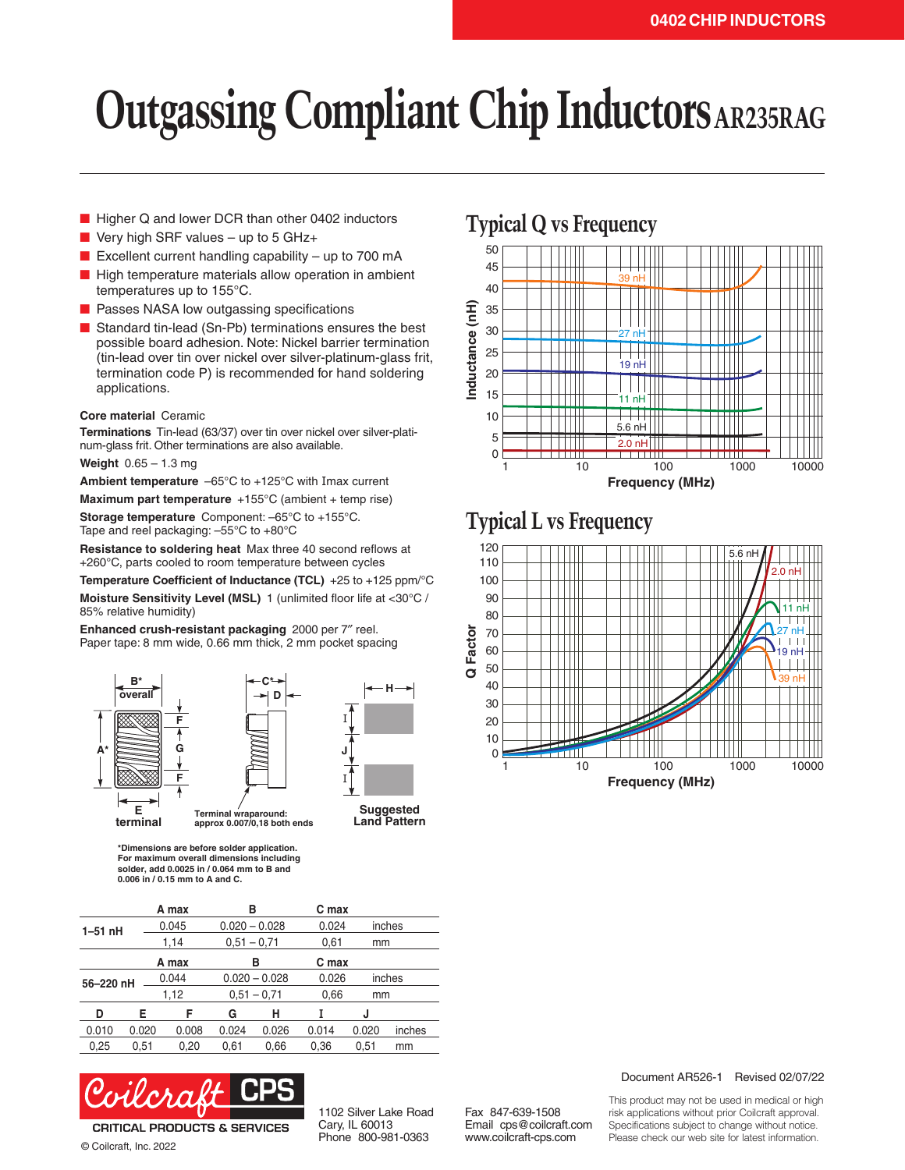# **Outgassing Compliant Chip Inductors AR235RAG**

- Higher Q and lower DCR than other 0402 inductors
- Very high SRF values up to 5 GHz+
- Excellent current handling capability  $-$  up to 700 mA
- High temperature materials allow operation in ambient temperatures up to 155°C.
- Passes NASA low outgassing specifications
- Standard tin-lead (Sn-Pb) terminations ensures the best possible board adhesion. Note: Nickel barrier termination (tin-lead over tin over nickel over silver-platinum-glass frit, termination code P) is recommended for hand soldering applications.

#### **Core material** Ceramic

**Terminations** Tin-lead (63/37) over tin over nickel over silver-platinum-glass frit. Other terminations are also available.

**Weight** 0.65 – 1.3 mg

**Ambient temperature** –65°C to +125°C with Imax current

**Maximum part temperature** +155°C (ambient + temp rise)

**Storage temperature** Component: –65°C to +155°C. Tape and reel packaging: –55°C to +80°C

**Resistance to soldering heat** Max three 40 second reflows at +260°C, parts cooled to room temperature between cycles

**Temperature Coefficient of Inductance (TCL)** +25 to +125 ppm/°C **Moisture Sensitivity Level (MSL)** 1 (unlimited floor life at <30°C / 85% relative humidity)

D

**Enhanced crush-resistant packaging** 2000 per 7″ reel. Paper tape: 8 mm wide, 0.66 mm thick, 2 mm pocket spacing





**Land Pattern**

\*Dimensions are before solder application. For maximum overall dimensions including solder, add 0.0025 in / 0.064 mm to B and 0.006 in / 0.15 mm to A and C.

|           |       | A max | в               |                 | C max |       |        |  |
|-----------|-------|-------|-----------------|-----------------|-------|-------|--------|--|
| $1-51$ nH |       | 0.045 | $0.020 - 0.028$ |                 | 0.024 |       | inches |  |
|           |       | 1,14  | $0,51 - 0,71$   |                 | 0,61  | mm    |        |  |
|           |       | A max |                 | в               | C max |       |        |  |
| 56-220 nH |       | 0.044 |                 | $0.020 - 0.028$ | 0.026 |       | inches |  |
|           |       | 1,12  | $0,51 - 0,71$   |                 | 0,66  | mm    |        |  |
| D         | Е     | F     | G               | н               |       | J     |        |  |
| 0.010     | 0.020 | 0.008 | 0.024           | 0.026           | 0.014 | 0.020 | inches |  |
| 0.25      | 0.51  | 0.20  | 0.61            | 0.66            | 0.36  | 0.51  | mm     |  |



© Coilcraft, Inc. 2022

1102 Silver Lake Road Cary, IL 60013 Phone 800-981-0363

Fax 847-639-1508 Email cps@coilcraft.com www.coilcraft-cps.com





### **Typical L vs Frequency**



#### Document AR526-1 Revised 02/07/22

This product may not be used in medical or high risk applications without prior Coilcraft approval. Specifications subject to change without notice. Please check our web site for latest information.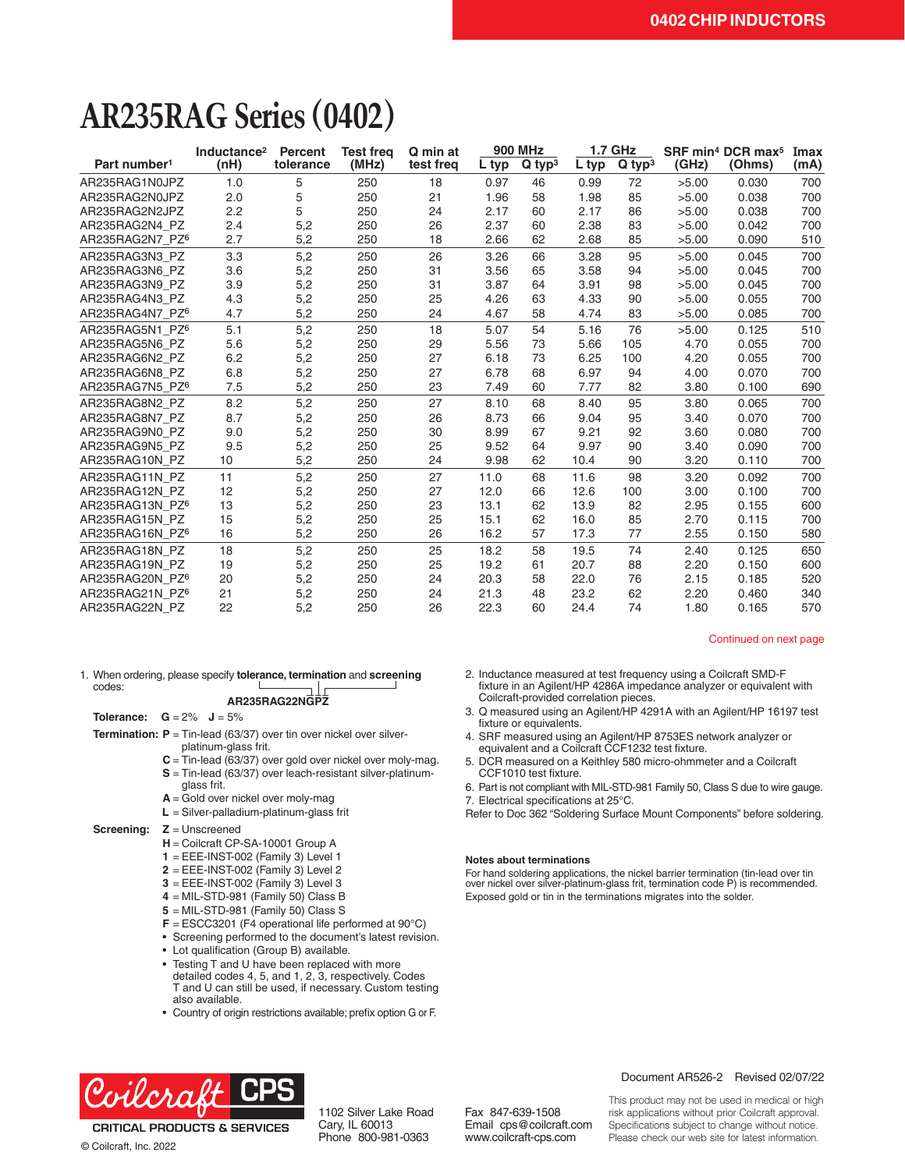## **AR235RAG Series (0402)**

|                          | Inductance <sup>2</sup> | <b>Percent</b> | <b>Test frea</b> | Q min at  | <b>900 MHz</b> |                      | <b>1.7 GHz</b> |                      | SRF min <sup>4</sup> DCR max <sup>5</sup> |        | Imax |
|--------------------------|-------------------------|----------------|------------------|-----------|----------------|----------------------|----------------|----------------------|-------------------------------------------|--------|------|
| Part number <sup>1</sup> | (nH)                    | tolerance      | (MHz)            | test freq | L typ          | $Q$ typ <sup>3</sup> | L typ          | $Q$ typ <sup>3</sup> | (GHz)                                     | (Ohms) | (mA) |
| AR235RAG1N0JPZ           | 1.0                     | 5              | 250              | 18        | 0.97           | 46                   | 0.99           | 72                   | >5.00                                     | 0.030  | 700  |
| AR235RAG2N0JPZ           | 2.0                     | 5              | 250              | 21        | 1.96           | 58                   | 1.98           | 85                   | >5.00                                     | 0.038  | 700  |
| AR235RAG2N2JPZ           | 2.2                     | 5              | 250              | 24        | 2.17           | 60                   | 2.17           | 86                   | >5.00                                     | 0.038  | 700  |
| AR235RAG2N4 PZ           | 2.4                     | 5,2            | 250              | 26        | 2.37           | 60                   | 2.38           | 83                   | >5.00                                     | 0.042  | 700  |
| AR235RAG2N7 PZ6          | 2.7                     | 5,2            | 250              | 18        | 2.66           | 62                   | 2.68           | 85                   | >5.00                                     | 0.090  | 510  |
| AR235RAG3N3 PZ           | 3.3                     | 5,2            | 250              | 26        | 3.26           | 66                   | 3.28           | 95                   | >5.00                                     | 0.045  | 700  |
| AR235RAG3N6 PZ           | 3.6                     | 5,2            | 250              | 31        | 3.56           | 65                   | 3.58           | 94                   | >5.00                                     | 0.045  | 700  |
| AR235RAG3N9 PZ           | 3.9                     | 5,2            | 250              | 31        | 3.87           | 64                   | 3.91           | 98                   | >5.00                                     | 0.045  | 700  |
| AR235RAG4N3 PZ           | 4.3                     | 5,2            | 250              | 25        | 4.26           | 63                   | 4.33           | 90                   | >5.00                                     | 0.055  | 700  |
| AR235RAG4N7 PZ6          | 4.7                     | 5,2            | 250              | 24        | 4.67           | 58                   | 4.74           | 83                   | >5.00                                     | 0.085  | 700  |
| AR235RAG5N1 PZ6          | 5.1                     | 5,2            | 250              | 18        | 5.07           | 54                   | 5.16           | 76                   | >5.00                                     | 0.125  | 510  |
| AR235RAG5N6 PZ           | 5.6                     | 5,2            | 250              | 29        | 5.56           | 73                   | 5.66           | 105                  | 4.70                                      | 0.055  | 700  |
| AR235RAG6N2 PZ           | 6.2                     | 5,2            | 250              | 27        | 6.18           | 73                   | 6.25           | 100                  | 4.20                                      | 0.055  | 700  |
| AR235RAG6N8 PZ           | 6.8                     | 5,2            | 250              | 27        | 6.78           | 68                   | 6.97           | 94                   | 4.00                                      | 0.070  | 700  |
| AR235RAG7N5 PZ6          | 7.5                     | 5,2            | 250              | 23        | 7.49           | 60                   | 7.77           | 82                   | 3.80                                      | 0.100  | 690  |
| AR235RAG8N2 PZ           | 8.2                     | 5,2            | 250              | 27        | 8.10           | 68                   | 8.40           | 95                   | 3.80                                      | 0.065  | 700  |
| AR235RAG8N7 PZ           | 8.7                     | 5,2            | 250              | 26        | 8.73           | 66                   | 9.04           | 95                   | 3.40                                      | 0.070  | 700  |
| AR235RAG9N0 PZ           | 9.0                     | 5,2            | 250              | 30        | 8.99           | 67                   | 9.21           | 92                   | 3.60                                      | 0.080  | 700  |
| AR235RAG9N5_PZ           | 9.5                     | 5,2            | 250              | 25        | 9.52           | 64                   | 9.97           | 90                   | 3.40                                      | 0.090  | 700  |
| AR235RAG10N PZ           | 10                      | 5,2            | 250              | 24        | 9.98           | 62                   | 10.4           | 90                   | 3.20                                      | 0.110  | 700  |
| AR235RAG11N PZ           | 11                      | 5,2            | 250              | 27        | 11.0           | 68                   | 11.6           | 98                   | 3.20                                      | 0.092  | 700  |
| AR235RAG12N PZ           | 12                      | 5,2            | 250              | 27        | 12.0           | 66                   | 12.6           | 100                  | 3.00                                      | 0.100  | 700  |
| AR235RAG13N PZ6          | 13                      | 5,2            | 250              | 23        | 13.1           | 62                   | 13.9           | 82                   | 2.95                                      | 0.155  | 600  |
| AR235RAG15N PZ           | 15                      | 5,2            | 250              | 25        | 15.1           | 62                   | 16.0           | 85                   | 2.70                                      | 0.115  | 700  |
| AR235RAG16N PZ6          | 16                      | 5,2            | 250              | 26        | 16.2           | 57                   | 17.3           | 77                   | 2.55                                      | 0.150  | 580  |
| AR235RAG18N PZ           | 18                      | 5,2            | 250              | 25        | 18.2           | 58                   | 19.5           | 74                   | 2.40                                      | 0.125  | 650  |
| AR235RAG19N PZ           | 19                      | 5,2            | 250              | 25        | 19.2           | 61                   | 20.7           | 88                   | 2.20                                      | 0.150  | 600  |
| AR235RAG20N PZ6          | 20                      | 5,2            | 250              | 24        | 20.3           | 58                   | 22.0           | 76                   | 2.15                                      | 0.185  | 520  |
| AR235RAG21N PZ6          | 21                      | 5,2            | 250              | 24        | 21.3           | 48                   | 23.2           | 62                   | 2.20                                      | 0.460  | 340  |
| AR235RAG22N PZ           | 22                      | 5,2            | 250              | 26        | 22.3           | 60                   | 24.4           | 74                   | 1.80                                      | 0.165  | 570  |

#### Continued on next page

1. When ordering, please specify **tolerance, termination** and **screening**  codes:

#### **AR235RAG22NGPZ**

- **Tolerance:**  $G = 2\%$   $J = 5\%$
- **Termination: P** = Tin-lead (63/37) over tin over nickel over silverplatinum-glass frit.
	- **C** = Tin-lead (63/37) over gold over nickel over moly-mag.
	- **S** = Tin-lead (63/37) over leach-resistant silver-platinum-
	- glass frit.
	- **A** = Gold over nickel over moly-mag
	- **L** = Silver-palladium-platinum-glass frit

#### **Screening: Z** = Unscreened

- **H** = Coilcraft CP-SA-10001 Group A
- **1** = EEE-INST-002 (Family 3) Level 1
- **2** = EEE-INST-002 (Family 3) Level 2
- **3** = EEE-INST-002 (Family 3) Level 3
- **4** = MIL-STD-981 (Family 50) Class B
- 
- **5** = MIL-STD-981 (Family 50) Class S
- **F** = ESCC3201 (F4 operational life performed at 90°C)
- Screening performed to the document's latest revision.
- Lot qualification (Group B) available.
- Testing T and U have been replaced with more detailed codes 4, 5, and 1, 2, 3, respectively. Codes T and U can still be used, if necessary. Custom testing also available.
- Country of origin restrictions available; prefix option G or F.



- 3. Q measured using an Agilent/HP 4291A with an Agilent/HP 16197 test fixture or equivalents.
- 4. SRF measured using an Agilent/HP 8753ES network analyzer or equivalent and a Coilcraft CCF1232 test fixture.
- 5. DCR measured on a Keithley 580 micro-ohmmeter and a Coilcraft CCF1010 test fixture.
- 6. Part is not compliant with MIL-STD-981 Family 50, Class S due to wire gauge.
- 7. Electrical specifications at 25°C.

Refer to Doc 362 "Soldering Surface Mount Components" before soldering.

#### **Notes about terminations**

For hand soldering applications, the nickel barrier termination (tin-lead over tin over nickel over silver-platinum-glass frit, termination code P) is recommended. Exposed gold or tin in the terminations migrates into the solder.



**CRITICAL PRODUCTS & SERVICES** © Coilcraft, Inc. 2022

1102 Silver Lake Road Cary, IL 60013 Phone 800-981-0363

Fax 847-639-1508 Email cps@coilcraft.com www.coilcraft-cps.com

#### Document AR526-2 Revised 02/07/22

This product may not be used in medical or high risk applications without prior Coilcraft approval. Specifications subject to change without notice. Please check our web site for latest information.